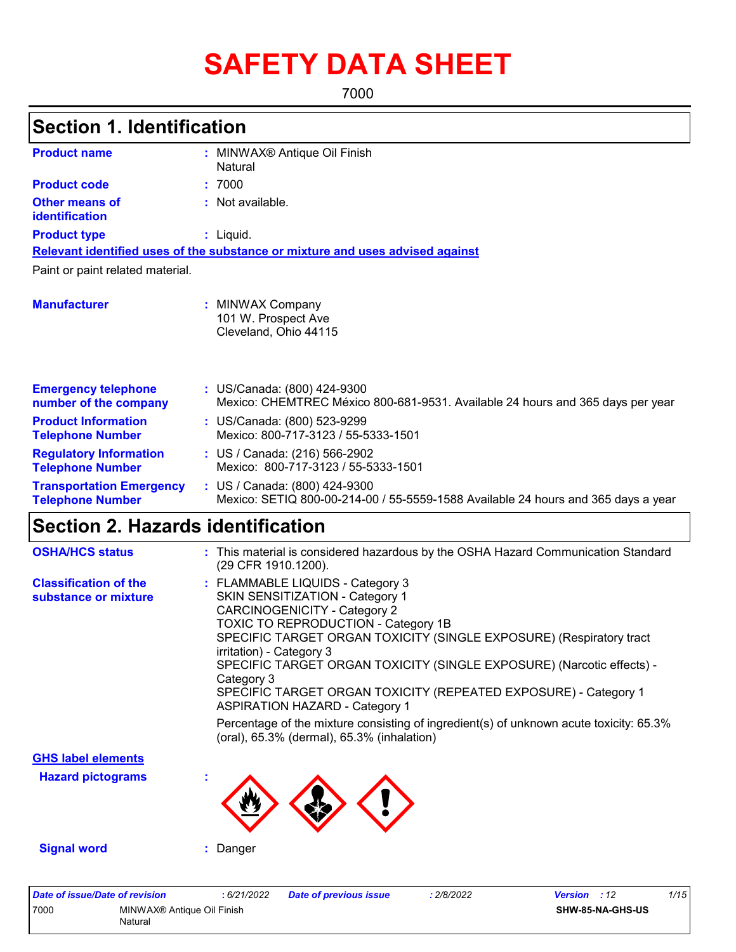# **SAFETY DATA SHEET**

7000

| <b>Section 1. Identification</b>                           |                                                                                                                                                                                                                                                                                                                                                                                                                |
|------------------------------------------------------------|----------------------------------------------------------------------------------------------------------------------------------------------------------------------------------------------------------------------------------------------------------------------------------------------------------------------------------------------------------------------------------------------------------------|
| <b>Product name</b>                                        | : MINWAX <sup>®</sup> Antique Oil Finish<br>Natural                                                                                                                                                                                                                                                                                                                                                            |
| <b>Product code</b>                                        | : 7000                                                                                                                                                                                                                                                                                                                                                                                                         |
| <b>Other means of</b><br>identification                    | : Not available.                                                                                                                                                                                                                                                                                                                                                                                               |
| <b>Product type</b>                                        | $:$ Liquid.                                                                                                                                                                                                                                                                                                                                                                                                    |
|                                                            | Relevant identified uses of the substance or mixture and uses advised against                                                                                                                                                                                                                                                                                                                                  |
| Paint or paint related material.                           |                                                                                                                                                                                                                                                                                                                                                                                                                |
| <b>Manufacturer</b>                                        | : MINWAX Company<br>101 W. Prospect Ave<br>Cleveland, Ohio 44115                                                                                                                                                                                                                                                                                                                                               |
| <b>Emergency telephone</b><br>number of the company        | : US/Canada: (800) 424-9300<br>Mexico: CHEMTREC México 800-681-9531. Available 24 hours and 365 days per year                                                                                                                                                                                                                                                                                                  |
| <b>Product Information</b><br><b>Telephone Number</b>      | : US/Canada: (800) 523-9299<br>Mexico: 800-717-3123 / 55-5333-1501                                                                                                                                                                                                                                                                                                                                             |
| <b>Regulatory Information</b><br><b>Telephone Number</b>   | : US / Canada: (216) 566-2902<br>Mexico: 800-717-3123 / 55-5333-1501                                                                                                                                                                                                                                                                                                                                           |
| <b>Transportation Emergency</b><br><b>Telephone Number</b> | : US / Canada: (800) 424-9300<br>Mexico: SETIQ 800-00-214-00 / 55-5559-1588 Available 24 hours and 365 days a year                                                                                                                                                                                                                                                                                             |
| <b>Section 2. Hazards identification</b>                   |                                                                                                                                                                                                                                                                                                                                                                                                                |
| <b>OSHA/HCS status</b>                                     | : This material is considered hazardous by the OSHA Hazard Communication Standard<br>(29 CFR 1910.1200).                                                                                                                                                                                                                                                                                                       |
| <b>Classification of the</b><br>substance or mixture       | : FLAMMABLE LIQUIDS - Category 3<br>SKIN SENSITIZATION - Category 1<br><b>CARCINOGENICITY - Category 2</b><br>TOXIC TO REPRODUCTION - Category 1B<br>SPECIFIC TARGET ORGAN TOXICITY (SINGLE EXPOSURE) (Respiratory tract<br>irritation) - Category 3<br>SPECIFIC TARGET ORGAN TOXICITY (SINGLE EXPOSURE) (Narcotic effects) -<br>Category 3<br>SPECIFIC TARGET ORGAN TOXICITY (REPEATED EXPOSURE) - Category 1 |

Percentage of the mixture consisting of ingredient(s) of unknown acute toxicity: 65.3% (oral), 65.3% (dermal), 65.3% (inhalation)

ASPIRATION HAZARD - Category 1

**Hazard pictograms : GHS label elements**

**Signal word :** Danger

| Date of issue/Date of revision |                                       | : 6/21/2022 | <b>Date of previous issue</b> | 2/8/2022 | <b>Version</b> : 12 |                         | 1/15 |
|--------------------------------|---------------------------------------|-------------|-------------------------------|----------|---------------------|-------------------------|------|
| 7000                           | MINWAX® Antique Oil Finish<br>Natural |             |                               |          |                     | <b>SHW-85-NA-GHS-US</b> |      |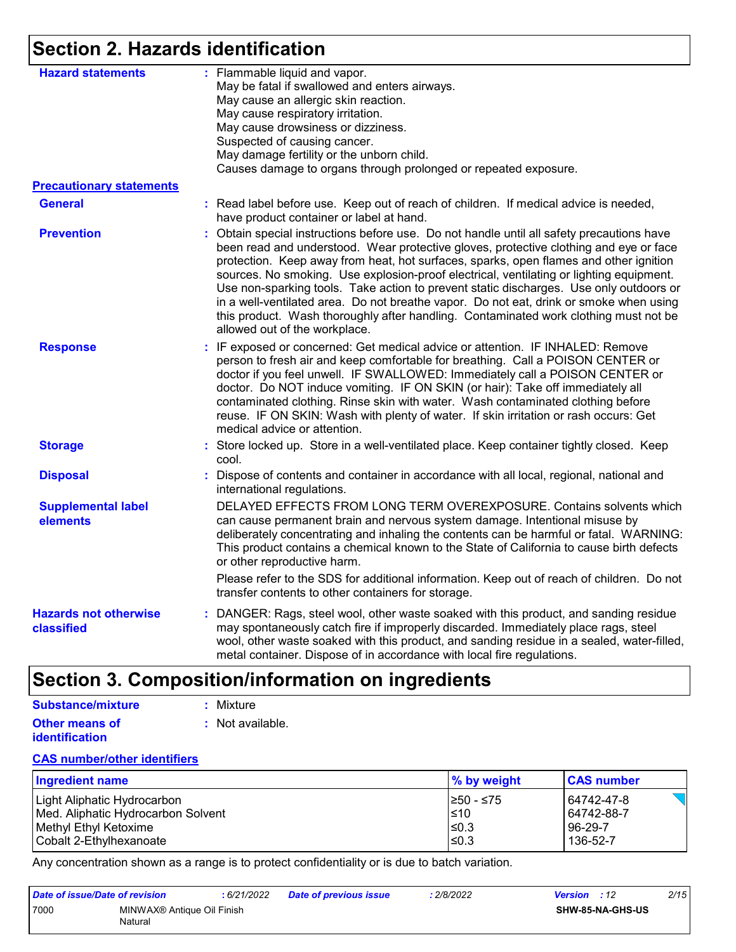### **Section 2. Hazards identification**

| <b>Hazard statements</b>                   | : Flammable liquid and vapor.<br>May be fatal if swallowed and enters airways.<br>May cause an allergic skin reaction.<br>May cause respiratory irritation.<br>May cause drowsiness or dizziness.<br>Suspected of causing cancer.<br>May damage fertility or the unborn child.<br>Causes damage to organs through prolonged or repeated exposure.                                                                                                                                                                                                                                                                                                                                 |
|--------------------------------------------|-----------------------------------------------------------------------------------------------------------------------------------------------------------------------------------------------------------------------------------------------------------------------------------------------------------------------------------------------------------------------------------------------------------------------------------------------------------------------------------------------------------------------------------------------------------------------------------------------------------------------------------------------------------------------------------|
| <b>Precautionary statements</b>            |                                                                                                                                                                                                                                                                                                                                                                                                                                                                                                                                                                                                                                                                                   |
| <b>General</b>                             | : Read label before use. Keep out of reach of children. If medical advice is needed,<br>have product container or label at hand.                                                                                                                                                                                                                                                                                                                                                                                                                                                                                                                                                  |
| <b>Prevention</b>                          | Obtain special instructions before use. Do not handle until all safety precautions have<br>been read and understood. Wear protective gloves, protective clothing and eye or face<br>protection. Keep away from heat, hot surfaces, sparks, open flames and other ignition<br>sources. No smoking. Use explosion-proof electrical, ventilating or lighting equipment.<br>Use non-sparking tools. Take action to prevent static discharges. Use only outdoors or<br>in a well-ventilated area. Do not breathe vapor. Do not eat, drink or smoke when using<br>this product. Wash thoroughly after handling. Contaminated work clothing must not be<br>allowed out of the workplace. |
| <b>Response</b>                            | : IF exposed or concerned: Get medical advice or attention. IF INHALED: Remove<br>person to fresh air and keep comfortable for breathing. Call a POISON CENTER or<br>doctor if you feel unwell. IF SWALLOWED: Immediately call a POISON CENTER or<br>doctor. Do NOT induce vomiting. IF ON SKIN (or hair): Take off immediately all<br>contaminated clothing. Rinse skin with water. Wash contaminated clothing before<br>reuse. IF ON SKIN: Wash with plenty of water. If skin irritation or rash occurs: Get<br>medical advice or attention.                                                                                                                                    |
| <b>Storage</b>                             | : Store locked up. Store in a well-ventilated place. Keep container tightly closed. Keep<br>cool.                                                                                                                                                                                                                                                                                                                                                                                                                                                                                                                                                                                 |
| <b>Disposal</b>                            | Dispose of contents and container in accordance with all local, regional, national and<br>international regulations.                                                                                                                                                                                                                                                                                                                                                                                                                                                                                                                                                              |
| <b>Supplemental label</b><br>elements      | DELAYED EFFECTS FROM LONG TERM OVEREXPOSURE. Contains solvents which<br>can cause permanent brain and nervous system damage. Intentional misuse by<br>deliberately concentrating and inhaling the contents can be harmful or fatal. WARNING:<br>This product contains a chemical known to the State of California to cause birth defects<br>or other reproductive harm.                                                                                                                                                                                                                                                                                                           |
|                                            | Please refer to the SDS for additional information. Keep out of reach of children. Do not<br>transfer contents to other containers for storage.                                                                                                                                                                                                                                                                                                                                                                                                                                                                                                                                   |
| <b>Hazards not otherwise</b><br>classified | DANGER: Rags, steel wool, other waste soaked with this product, and sanding residue<br>may spontaneously catch fire if improperly discarded. Immediately place rags, steel<br>wool, other waste soaked with this product, and sanding residue in a sealed, water-filled,<br>metal container. Dispose of in accordance with local fire regulations.                                                                                                                                                                                                                                                                                                                                |

### **Section 3. Composition/information on ingredients**

| Substance/mixture     | : Mixture        |
|-----------------------|------------------|
| <b>Other means of</b> | : Not available. |
| <b>identification</b> |                  |

#### **CAS number/other identifiers**

| Ingredient name                    | % by weight | <b>CAS number</b> |
|------------------------------------|-------------|-------------------|
| Light Aliphatic Hydrocarbon        | 1≥50 - ≤75  | 64742-47-8        |
| Med. Aliphatic Hydrocarbon Solvent | $\leq 10$   | 64742-88-7        |
| Methyl Ethyl Ketoxime              | $≤0.3$      | 96-29-7           |
| Cobalt 2-Ethylhexanoate            | l≤0.3       | 136-52-7          |

Any concentration shown as a range is to protect confidentiality or is due to batch variation.

| Date of issue/Date of revision |                                       | 6/21/2022 | <b>Date of previous issue</b> | : 2/8/2022 | <b>Version</b> : 12 |                  | 2/15 |
|--------------------------------|---------------------------------------|-----------|-------------------------------|------------|---------------------|------------------|------|
| 7000                           | MINWAX® Antique Oil Finish<br>Natural |           |                               |            |                     | SHW-85-NA-GHS-US |      |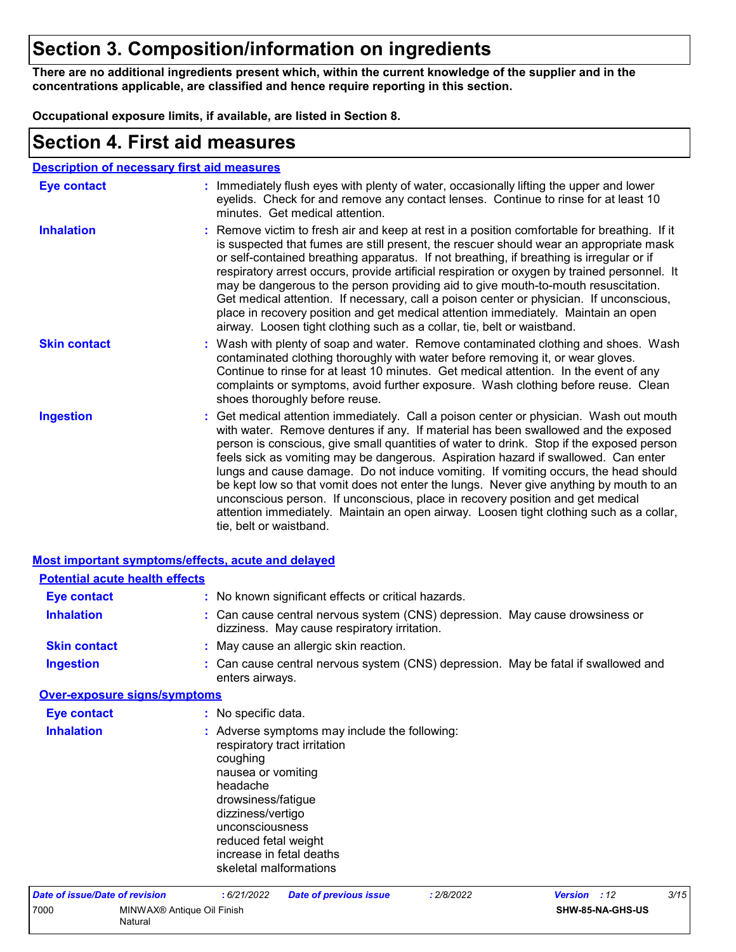### **Section 3. Composition/information on ingredients**

**There are no additional ingredients present which, within the current knowledge of the supplier and in the concentrations applicable, are classified and hence require reporting in this section.**

**Occupational exposure limits, if available, are listed in Section 8.**

### **Section 4. First aid measures**

| Eye contact         | : Immediately flush eyes with plenty of water, occasionally lifting the upper and lower<br>eyelids. Check for and remove any contact lenses. Continue to rinse for at least 10<br>minutes. Get medical attention.                                                                                                                                                                                                                                                                                                                                                                                                                                                                                                                                       |
|---------------------|---------------------------------------------------------------------------------------------------------------------------------------------------------------------------------------------------------------------------------------------------------------------------------------------------------------------------------------------------------------------------------------------------------------------------------------------------------------------------------------------------------------------------------------------------------------------------------------------------------------------------------------------------------------------------------------------------------------------------------------------------------|
| <b>Inhalation</b>   | : Remove victim to fresh air and keep at rest in a position comfortable for breathing. If it<br>is suspected that fumes are still present, the rescuer should wear an appropriate mask<br>or self-contained breathing apparatus. If not breathing, if breathing is irregular or if<br>respiratory arrest occurs, provide artificial respiration or oxygen by trained personnel. It<br>may be dangerous to the person providing aid to give mouth-to-mouth resuscitation.<br>Get medical attention. If necessary, call a poison center or physician. If unconscious,<br>place in recovery position and get medical attention immediately. Maintain an open<br>airway. Loosen tight clothing such as a collar, tie, belt or waistband.                    |
| <b>Skin contact</b> | : Wash with plenty of soap and water. Remove contaminated clothing and shoes. Wash<br>contaminated clothing thoroughly with water before removing it, or wear gloves.<br>Continue to rinse for at least 10 minutes. Get medical attention. In the event of any<br>complaints or symptoms, avoid further exposure. Wash clothing before reuse. Clean<br>shoes thoroughly before reuse.                                                                                                                                                                                                                                                                                                                                                                   |
| <b>Ingestion</b>    | : Get medical attention immediately. Call a poison center or physician. Wash out mouth<br>with water. Remove dentures if any. If material has been swallowed and the exposed<br>person is conscious, give small quantities of water to drink. Stop if the exposed person<br>feels sick as vomiting may be dangerous. Aspiration hazard if swallowed. Can enter<br>lungs and cause damage. Do not induce vomiting. If vomiting occurs, the head should<br>be kept low so that vomit does not enter the lungs. Never give anything by mouth to an<br>unconscious person. If unconscious, place in recovery position and get medical<br>attention immediately. Maintain an open airway. Loosen tight clothing such as a collar,<br>tie, belt or waistband. |

| <b>Most important symptoms/effects, acute and delayed</b> |                                                                                                                                  |                                                                                                                                     |            |                |     |      |
|-----------------------------------------------------------|----------------------------------------------------------------------------------------------------------------------------------|-------------------------------------------------------------------------------------------------------------------------------------|------------|----------------|-----|------|
| <b>Potential acute health effects</b>                     |                                                                                                                                  |                                                                                                                                     |            |                |     |      |
| <b>Eye contact</b>                                        |                                                                                                                                  | : No known significant effects or critical hazards.                                                                                 |            |                |     |      |
| <b>Inhalation</b>                                         |                                                                                                                                  | : Can cause central nervous system (CNS) depression. May cause drowsiness or<br>dizziness. May cause respiratory irritation.        |            |                |     |      |
| <b>Skin contact</b>                                       |                                                                                                                                  | : May cause an allergic skin reaction.                                                                                              |            |                |     |      |
| <b>Ingestion</b>                                          | enters airways.                                                                                                                  | : Can cause central nervous system (CNS) depression. May be fatal if swallowed and                                                  |            |                |     |      |
| <b>Over-exposure signs/symptoms</b>                       |                                                                                                                                  |                                                                                                                                     |            |                |     |      |
| <b>Eye contact</b>                                        | : No specific data.                                                                                                              |                                                                                                                                     |            |                |     |      |
| <b>Inhalation</b>                                         | coughing<br>nausea or vomiting<br>headache<br>drowsiness/fatigue<br>dizziness/vertigo<br>unconsciousness<br>reduced fetal weight | : Adverse symptoms may include the following:<br>respiratory tract irritation<br>increase in fetal deaths<br>skeletal malformations |            |                |     |      |
| Date of issue/Date of revision                            | : 6/21/2022                                                                                                                      | <b>Date of previous issue</b>                                                                                                       | : 2/8/2022 | <b>Version</b> | :12 | 3/15 |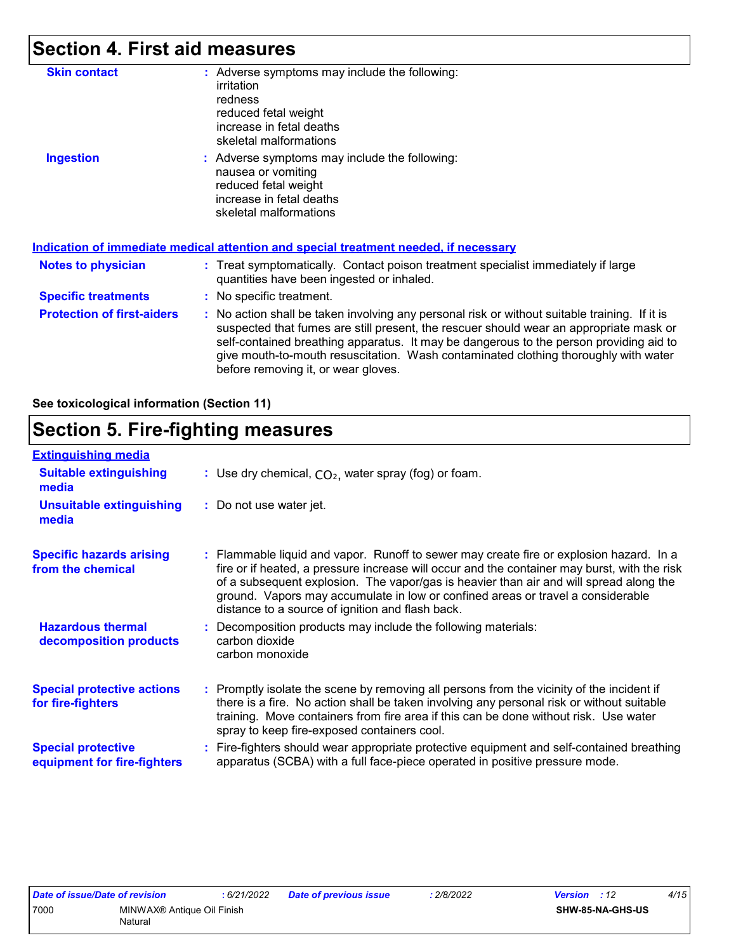### **Section 4. First aid measures**

| <b>Skin contact</b>               | : Adverse symptoms may include the following:<br>irritation<br>redness<br>reduced fetal weight<br>increase in fetal deaths<br>skeletal malformations                                                                                                                                                                                                                                                            |
|-----------------------------------|-----------------------------------------------------------------------------------------------------------------------------------------------------------------------------------------------------------------------------------------------------------------------------------------------------------------------------------------------------------------------------------------------------------------|
| <b>Ingestion</b>                  | : Adverse symptoms may include the following:<br>nausea or vomiting<br>reduced fetal weight<br>increase in fetal deaths<br>skeletal malformations<br><u>Indication of immediate medical attention and special treatment needed, if necessary</u>                                                                                                                                                                |
| <b>Notes to physician</b>         | : Treat symptomatically. Contact poison treatment specialist immediately if large<br>quantities have been ingested or inhaled.                                                                                                                                                                                                                                                                                  |
| <b>Specific treatments</b>        | : No specific treatment.                                                                                                                                                                                                                                                                                                                                                                                        |
| <b>Protection of first-aiders</b> | : No action shall be taken involving any personal risk or without suitable training. If it is<br>suspected that fumes are still present, the rescuer should wear an appropriate mask or<br>self-contained breathing apparatus. It may be dangerous to the person providing aid to<br>give mouth-to-mouth resuscitation. Wash contaminated clothing thoroughly with water<br>before removing it, or wear gloves. |

#### **See toxicological information (Section 11)**

### **Section 5. Fire-fighting measures**

| <b>Extinguishing media</b>                               |                                                                                                                                                                                                                                                                                                                                                                                                                          |
|----------------------------------------------------------|--------------------------------------------------------------------------------------------------------------------------------------------------------------------------------------------------------------------------------------------------------------------------------------------------------------------------------------------------------------------------------------------------------------------------|
| <b>Suitable extinguishing</b><br>media                   | : Use dry chemical, $CO2$ , water spray (fog) or foam.                                                                                                                                                                                                                                                                                                                                                                   |
| <b>Unsuitable extinguishing</b><br>media                 | : Do not use water jet.                                                                                                                                                                                                                                                                                                                                                                                                  |
| <b>Specific hazards arising</b><br>from the chemical     | : Flammable liquid and vapor. Runoff to sewer may create fire or explosion hazard. In a<br>fire or if heated, a pressure increase will occur and the container may burst, with the risk<br>of a subsequent explosion. The vapor/gas is heavier than air and will spread along the<br>ground. Vapors may accumulate in low or confined areas or travel a considerable<br>distance to a source of ignition and flash back. |
| <b>Hazardous thermal</b><br>decomposition products       | Decomposition products may include the following materials:<br>carbon dioxide<br>carbon monoxide                                                                                                                                                                                                                                                                                                                         |
| <b>Special protective actions</b><br>for fire-fighters   | : Promptly isolate the scene by removing all persons from the vicinity of the incident if<br>there is a fire. No action shall be taken involving any personal risk or without suitable<br>training. Move containers from fire area if this can be done without risk. Use water<br>spray to keep fire-exposed containers cool.                                                                                            |
| <b>Special protective</b><br>equipment for fire-fighters | Fire-fighters should wear appropriate protective equipment and self-contained breathing<br>apparatus (SCBA) with a full face-piece operated in positive pressure mode.                                                                                                                                                                                                                                                   |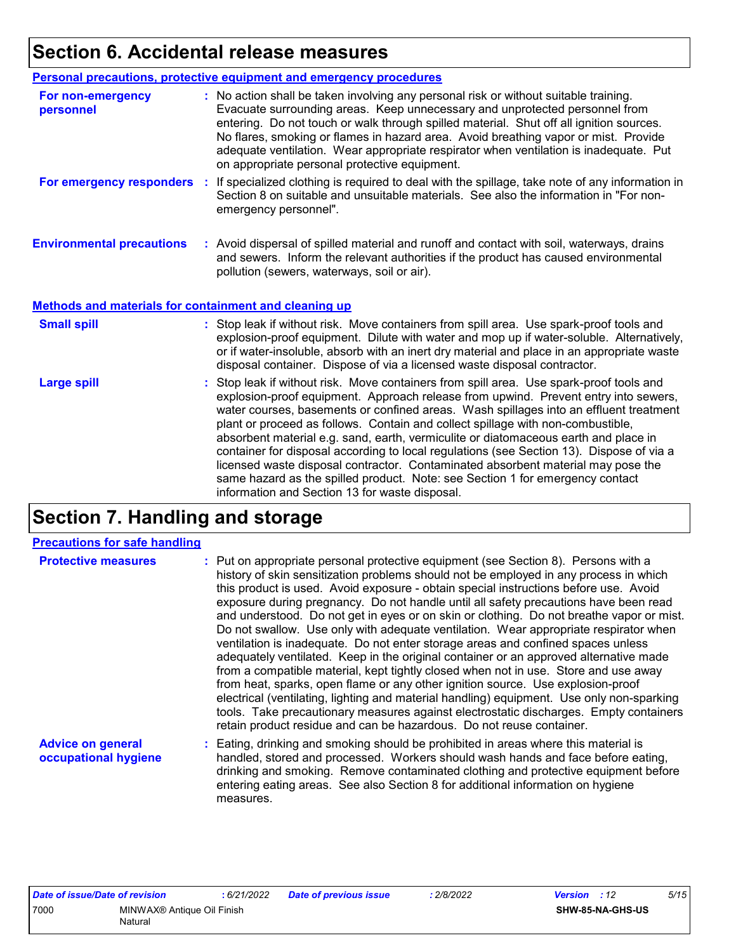### **Section 6. Accidental release measures**

| <b>Personal precautions, protective equipment and emergency procedures</b>                                                                                                                                                                                                                                                                                                                                                                                                                                                                                                                                                                                                                                         |
|--------------------------------------------------------------------------------------------------------------------------------------------------------------------------------------------------------------------------------------------------------------------------------------------------------------------------------------------------------------------------------------------------------------------------------------------------------------------------------------------------------------------------------------------------------------------------------------------------------------------------------------------------------------------------------------------------------------------|
| : No action shall be taken involving any personal risk or without suitable training.<br>Evacuate surrounding areas. Keep unnecessary and unprotected personnel from<br>entering. Do not touch or walk through spilled material. Shut off all ignition sources.<br>No flares, smoking or flames in hazard area. Avoid breathing vapor or mist. Provide<br>adequate ventilation. Wear appropriate respirator when ventilation is inadequate. Put<br>on appropriate personal protective equipment.                                                                                                                                                                                                                    |
| For emergency responders : If specialized clothing is required to deal with the spillage, take note of any information in<br>Section 8 on suitable and unsuitable materials. See also the information in "For non-<br>emergency personnel".                                                                                                                                                                                                                                                                                                                                                                                                                                                                        |
| : Avoid dispersal of spilled material and runoff and contact with soil, waterways, drains<br>and sewers. Inform the relevant authorities if the product has caused environmental<br>pollution (sewers, waterways, soil or air).                                                                                                                                                                                                                                                                                                                                                                                                                                                                                    |
| Methods and materials for containment and cleaning up                                                                                                                                                                                                                                                                                                                                                                                                                                                                                                                                                                                                                                                              |
| : Stop leak if without risk. Move containers from spill area. Use spark-proof tools and<br>explosion-proof equipment. Dilute with water and mop up if water-soluble. Alternatively,<br>or if water-insoluble, absorb with an inert dry material and place in an appropriate waste<br>disposal container. Dispose of via a licensed waste disposal contractor.                                                                                                                                                                                                                                                                                                                                                      |
| : Stop leak if without risk. Move containers from spill area. Use spark-proof tools and<br>explosion-proof equipment. Approach release from upwind. Prevent entry into sewers,<br>water courses, basements or confined areas. Wash spillages into an effluent treatment<br>plant or proceed as follows. Contain and collect spillage with non-combustible,<br>absorbent material e.g. sand, earth, vermiculite or diatomaceous earth and place in<br>container for disposal according to local regulations (see Section 13). Dispose of via a<br>licensed waste disposal contractor. Contaminated absorbent material may pose the<br>same hazard as the spilled product. Note: see Section 1 for emergency contact |
|                                                                                                                                                                                                                                                                                                                                                                                                                                                                                                                                                                                                                                                                                                                    |

### **Section 7. Handling and storage**

measures.

#### **Precautions for safe handling**

| <b>Protective measures</b>                       | : Put on appropriate personal protective equipment (see Section 8). Persons with a<br>history of skin sensitization problems should not be employed in any process in which<br>this product is used. Avoid exposure - obtain special instructions before use. Avoid<br>exposure during pregnancy. Do not handle until all safety precautions have been read<br>and understood. Do not get in eyes or on skin or clothing. Do not breathe vapor or mist.<br>Do not swallow. Use only with adequate ventilation. Wear appropriate respirator when<br>ventilation is inadequate. Do not enter storage areas and confined spaces unless<br>adequately ventilated. Keep in the original container or an approved alternative made<br>from a compatible material, kept tightly closed when not in use. Store and use away<br>from heat, sparks, open flame or any other ignition source. Use explosion-proof<br>electrical (ventilating, lighting and material handling) equipment. Use only non-sparking<br>tools. Take precautionary measures against electrostatic discharges. Empty containers<br>retain product residue and can be hazardous. Do not reuse container. |
|--------------------------------------------------|----------------------------------------------------------------------------------------------------------------------------------------------------------------------------------------------------------------------------------------------------------------------------------------------------------------------------------------------------------------------------------------------------------------------------------------------------------------------------------------------------------------------------------------------------------------------------------------------------------------------------------------------------------------------------------------------------------------------------------------------------------------------------------------------------------------------------------------------------------------------------------------------------------------------------------------------------------------------------------------------------------------------------------------------------------------------------------------------------------------------------------------------------------------------|
| <b>Advice on general</b><br>occupational hygiene | : Eating, drinking and smoking should be prohibited in areas where this material is<br>handled, stored and processed. Workers should wash hands and face before eating,<br>drinking and smoking. Remove contaminated clothing and protective equipment before<br>entering eating areas. See also Section 8 for additional information on hygiene                                                                                                                                                                                                                                                                                                                                                                                                                                                                                                                                                                                                                                                                                                                                                                                                                     |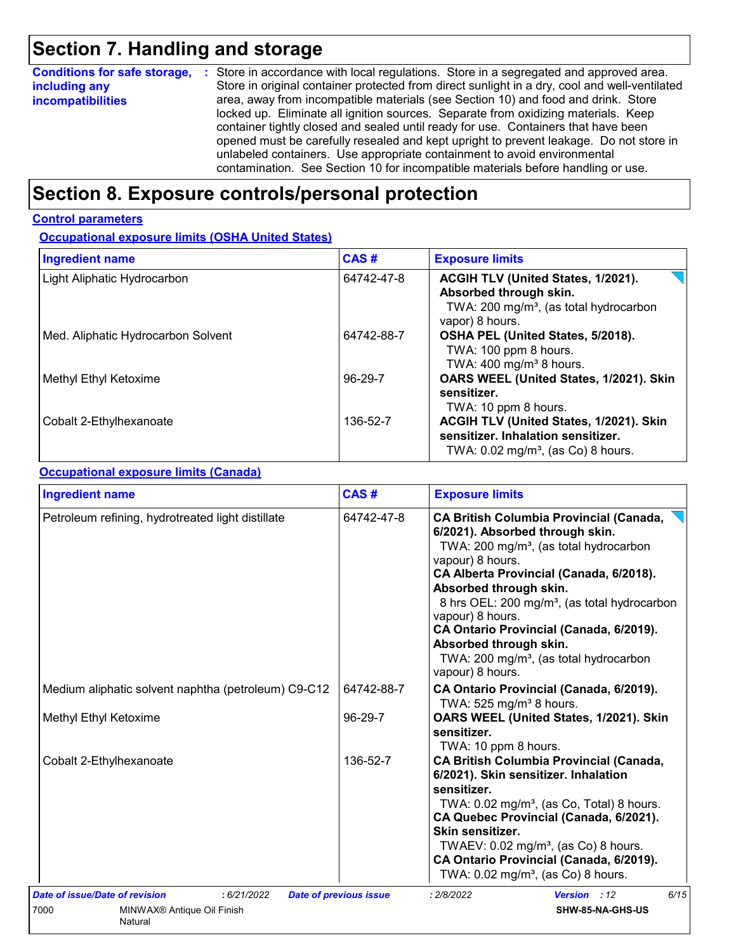### **Section 7. Handling and storage**

| <b>Conditions for safe storage,</b> | : Store in accordance with local regulations. Store in a segregated and approved area.        |  |  |  |  |  |  |
|-------------------------------------|-----------------------------------------------------------------------------------------------|--|--|--|--|--|--|
| including any                       | Store in original container protected from direct sunlight in a dry, cool and well-ventilated |  |  |  |  |  |  |
| <b>incompatibilities</b>            | area, away from incompatible materials (see Section 10) and food and drink. Store             |  |  |  |  |  |  |
|                                     | locked up. Eliminate all ignition sources. Separate from oxidizing materials. Keep            |  |  |  |  |  |  |
|                                     | container tightly closed and sealed until ready for use. Containers that have been            |  |  |  |  |  |  |
|                                     | opened must be carefully resealed and kept upright to prevent leakage. Do not store in        |  |  |  |  |  |  |
|                                     | unlabeled containers. Use appropriate containment to avoid environmental                      |  |  |  |  |  |  |
|                                     | contamination. See Section 10 for incompatible materials before handling or use.              |  |  |  |  |  |  |

### **Section 8. Exposure controls/personal protection**

#### **Control parameters**

**Occupational exposure limits (OSHA United States)**

| <b>Ingredient name</b>             | <b>CAS#</b> | <b>Exposure limits</b>                                                                                                                |  |  |
|------------------------------------|-------------|---------------------------------------------------------------------------------------------------------------------------------------|--|--|
| Light Aliphatic Hydrocarbon        | 64742-47-8  | ACGIH TLV (United States, 1/2021).<br>Absorbed through skin.<br>TWA: 200 mg/m <sup>3</sup> , (as total hydrocarbon<br>vapor) 8 hours. |  |  |
| Med. Aliphatic Hydrocarbon Solvent | 64742-88-7  | OSHA PEL (United States, 5/2018).<br>TWA: 100 ppm 8 hours.<br>TWA: $400 \text{ mg/m}^3$ 8 hours.                                      |  |  |
| Methyl Ethyl Ketoxime              | 96-29-7     | OARS WEEL (United States, 1/2021). Skin<br>sensitizer.<br>TWA: 10 ppm 8 hours.                                                        |  |  |
| Cobalt 2-Ethylhexanoate            | 136-52-7    | ACGIH TLV (United States, 1/2021). Skin<br>sensitizer. Inhalation sensitizer.<br>TWA: $0.02$ mg/m <sup>3</sup> , (as Co) 8 hours.     |  |  |

#### **Occupational exposure limits (Canada)**

| <b>Ingredient name</b>                                                                                            | CAS#                          | <b>Exposure limits</b><br><b>CA British Columbia Provincial (Canada,</b><br>6/2021). Absorbed through skin.<br>TWA: 200 mg/m <sup>3</sup> , (as total hydrocarbon<br>vapour) 8 hours.<br>CA Alberta Provincial (Canada, 6/2018).<br>Absorbed through skin.<br>8 hrs OEL: 200 mg/m <sup>3</sup> , (as total hydrocarbon<br>vapour) 8 hours.<br>CA Ontario Provincial (Canada, 6/2019).<br>Absorbed through skin.<br>TWA: 200 mg/m <sup>3</sup> , (as total hydrocarbon<br>vapour) 8 hours. |  |  |  |
|-------------------------------------------------------------------------------------------------------------------|-------------------------------|-------------------------------------------------------------------------------------------------------------------------------------------------------------------------------------------------------------------------------------------------------------------------------------------------------------------------------------------------------------------------------------------------------------------------------------------------------------------------------------------|--|--|--|
| Petroleum refining, hydrotreated light distillate                                                                 | 64742-47-8                    |                                                                                                                                                                                                                                                                                                                                                                                                                                                                                           |  |  |  |
| Medium aliphatic solvent naphtha (petroleum) C9-C12                                                               | 64742-88-7                    | CA Ontario Provincial (Canada, 6/2019).<br>TWA: 525 mg/m <sup>3</sup> 8 hours.                                                                                                                                                                                                                                                                                                                                                                                                            |  |  |  |
| Methyl Ethyl Ketoxime                                                                                             | 96-29-7                       | OARS WEEL (United States, 1/2021). Skin<br>sensitizer.<br>TWA: 10 ppm 8 hours.                                                                                                                                                                                                                                                                                                                                                                                                            |  |  |  |
| Cobalt 2-Ethylhexanoate                                                                                           | 136-52-7                      | <b>CA British Columbia Provincial (Canada,</b><br>6/2021). Skin sensitizer. Inhalation<br>sensitizer.<br>TWA: 0.02 mg/m <sup>3</sup> , (as Co, Total) 8 hours.<br>CA Quebec Provincial (Canada, 6/2021).<br>Skin sensitizer.<br>TWAEV: $0.02$ mg/m <sup>3</sup> , (as Co) 8 hours.<br>CA Ontario Provincial (Canada, 6/2019).<br>TWA: 0.02 mg/m <sup>3</sup> , (as Co) 8 hours.                                                                                                           |  |  |  |
| <b>Date of issue/Date of revision</b><br>: 6/21/2022<br>7000<br>MINWAX <sup>®</sup> Antique Oil Finish<br>Natural | <b>Date of previous issue</b> | 6/15<br>: 2/8/2022<br>Version : 12<br>SHW-85-NA-GHS-US                                                                                                                                                                                                                                                                                                                                                                                                                                    |  |  |  |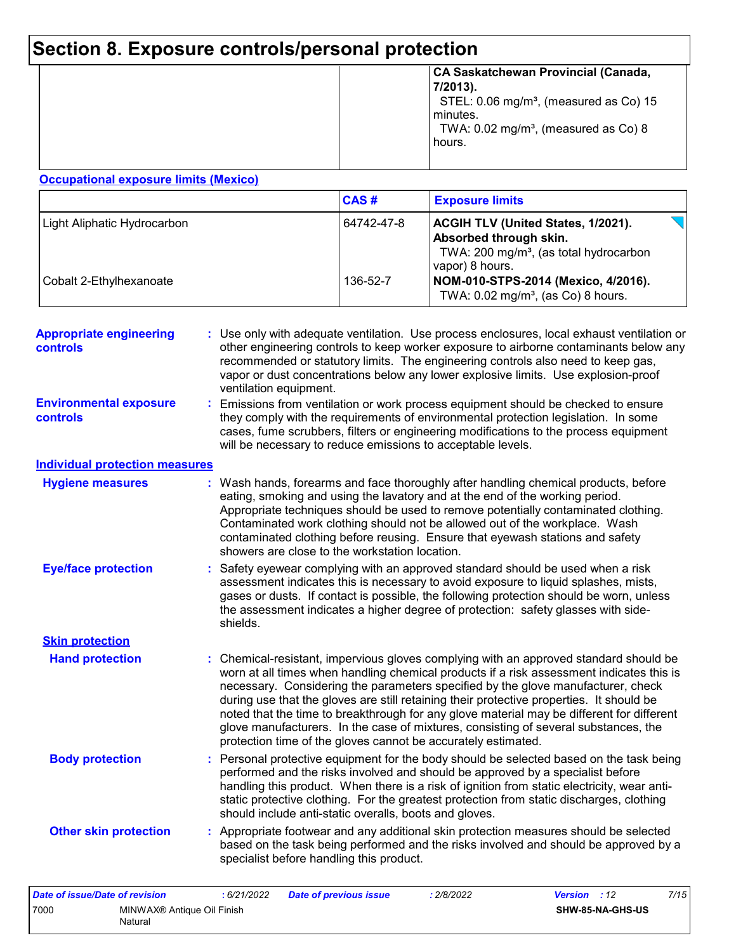## **Section 8. Exposure controls/personal protection**

| minutes. | STEL: 0.06 mg/m <sup>3</sup> , (measured as Co) 15 |
|----------|----------------------------------------------------|
| hours.   | TWA: 0.02 mg/m <sup>3</sup> , (measured as Co) 8   |

#### **Occupational exposure limits (Mexico)**

|                             | CAS#       | <b>Exposure limits</b>                                                                                                                       |
|-----------------------------|------------|----------------------------------------------------------------------------------------------------------------------------------------------|
| Light Aliphatic Hydrocarbon | 64742-47-8 | <b>ACGIH TLV (United States, 1/2021).</b><br>Absorbed through skin.<br>TWA: 200 mg/m <sup>3</sup> , (as total hydrocarbon<br>vapor) 8 hours. |
| Cobalt 2-Ethylhexanoate     | 136-52-7   | NOM-010-STPS-2014 (Mexico, 4/2016).<br>TWA: $0.02$ mg/m <sup>3</sup> , (as Co) 8 hours.                                                      |

| <b>Appropriate engineering</b><br>controls       | Use only with adequate ventilation. Use process enclosures, local exhaust ventilation or<br>other engineering controls to keep worker exposure to airborne contaminants below any<br>recommended or statutory limits. The engineering controls also need to keep gas,<br>vapor or dust concentrations below any lower explosive limits. Use explosion-proof<br>ventilation equipment.                                                                                                                                                                                                                                |
|--------------------------------------------------|----------------------------------------------------------------------------------------------------------------------------------------------------------------------------------------------------------------------------------------------------------------------------------------------------------------------------------------------------------------------------------------------------------------------------------------------------------------------------------------------------------------------------------------------------------------------------------------------------------------------|
| <b>Environmental exposure</b><br><b>controls</b> | Emissions from ventilation or work process equipment should be checked to ensure<br>they comply with the requirements of environmental protection legislation. In some<br>cases, fume scrubbers, filters or engineering modifications to the process equipment<br>will be necessary to reduce emissions to acceptable levels.                                                                                                                                                                                                                                                                                        |
| <b>Individual protection measures</b>            |                                                                                                                                                                                                                                                                                                                                                                                                                                                                                                                                                                                                                      |
| <b>Hygiene measures</b>                          | : Wash hands, forearms and face thoroughly after handling chemical products, before<br>eating, smoking and using the lavatory and at the end of the working period.<br>Appropriate techniques should be used to remove potentially contaminated clothing.<br>Contaminated work clothing should not be allowed out of the workplace. Wash<br>contaminated clothing before reusing. Ensure that eyewash stations and safety<br>showers are close to the workstation location.                                                                                                                                          |
| <b>Eye/face protection</b>                       | : Safety eyewear complying with an approved standard should be used when a risk<br>assessment indicates this is necessary to avoid exposure to liquid splashes, mists,<br>gases or dusts. If contact is possible, the following protection should be worn, unless<br>the assessment indicates a higher degree of protection: safety glasses with side-<br>shields.                                                                                                                                                                                                                                                   |
| <b>Skin protection</b>                           |                                                                                                                                                                                                                                                                                                                                                                                                                                                                                                                                                                                                                      |
| <b>Hand protection</b>                           | Chemical-resistant, impervious gloves complying with an approved standard should be<br>worn at all times when handling chemical products if a risk assessment indicates this is<br>necessary. Considering the parameters specified by the glove manufacturer, check<br>during use that the gloves are still retaining their protective properties. It should be<br>noted that the time to breakthrough for any glove material may be different for different<br>glove manufacturers. In the case of mixtures, consisting of several substances, the<br>protection time of the gloves cannot be accurately estimated. |
| <b>Body protection</b>                           | : Personal protective equipment for the body should be selected based on the task being<br>performed and the risks involved and should be approved by a specialist before<br>handling this product. When there is a risk of ignition from static electricity, wear anti-<br>static protective clothing. For the greatest protection from static discharges, clothing<br>should include anti-static overalls, boots and gloves.                                                                                                                                                                                       |
| <b>Other skin protection</b>                     | : Appropriate footwear and any additional skin protection measures should be selected<br>based on the task being performed and the risks involved and should be approved by a<br>specialist before handling this product.                                                                                                                                                                                                                                                                                                                                                                                            |

| Date of issue/Date of revision |                                       | : 6/21/2022 | Date of previous issue | 2/8/2022 | <b>Version</b> : 12 |                  | 7/15 |
|--------------------------------|---------------------------------------|-------------|------------------------|----------|---------------------|------------------|------|
| 7000                           | MINWAX® Antique Oil Finish<br>Natural |             |                        |          |                     | SHW-85-NA-GHS-US |      |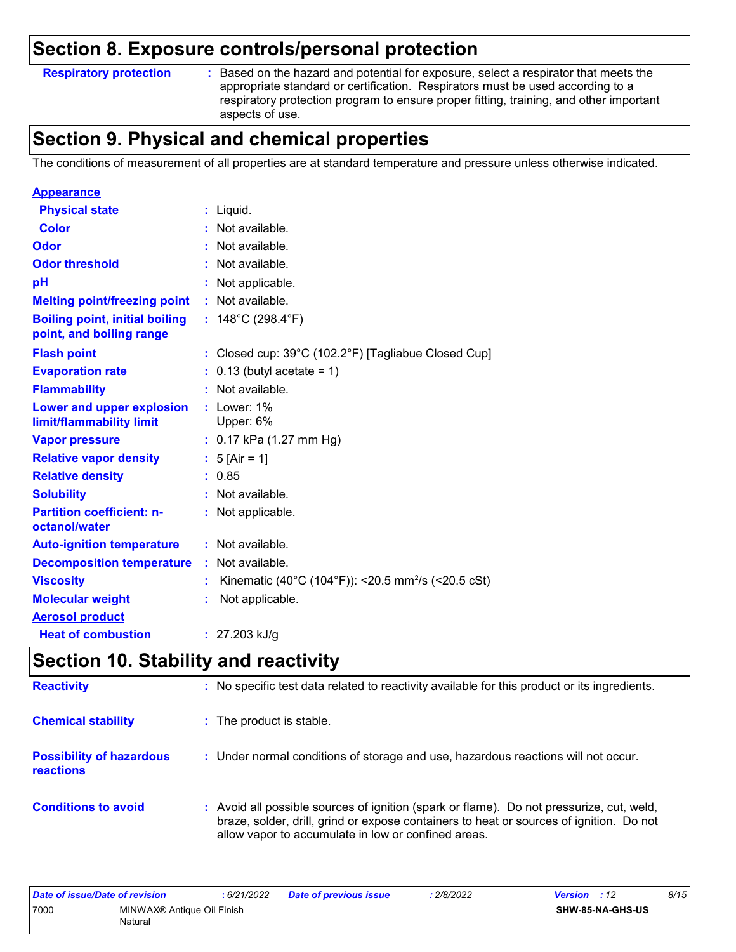### **Section 8. Exposure controls/personal protection**

**Respiratory protection :**

Based on the hazard and potential for exposure, select a respirator that meets the appropriate standard or certification. Respirators must be used according to a respiratory protection program to ensure proper fitting, training, and other important aspects of use.

### **Section 9. Physical and chemical properties**

The conditions of measurement of all properties are at standard temperature and pressure unless otherwise indicated.

| <b>Appearance</b>                                                 |                                                                |
|-------------------------------------------------------------------|----------------------------------------------------------------|
| <b>Physical state</b>                                             | : Liquid.                                                      |
| <b>Color</b>                                                      | : Not available.                                               |
| Odor                                                              | : Not available.                                               |
| <b>Odor threshold</b>                                             | : Not available.                                               |
| pH                                                                | : Not applicable.                                              |
| <b>Melting point/freezing point</b>                               | : Not available.                                               |
| <b>Boiling point, initial boiling</b><br>point, and boiling range | : $148^{\circ}$ C (298.4 $^{\circ}$ F)                         |
| <b>Flash point</b>                                                | : Closed cup: 39°C (102.2°F) [Tagliabue Closed Cup]            |
| <b>Evaporation rate</b>                                           | $: 0.13$ (butyl acetate = 1)                                   |
| <b>Flammability</b>                                               | : Not available.                                               |
| Lower and upper explosion<br>limit/flammability limit             | $:$ Lower: 1%<br>Upper: 6%                                     |
| <b>Vapor pressure</b>                                             | : $0.17$ kPa (1.27 mm Hg)                                      |
| <b>Relative vapor density</b>                                     | : $5$ [Air = 1]                                                |
| <b>Relative density</b>                                           | : 0.85                                                         |
| <b>Solubility</b>                                                 | : Not available.                                               |
| <b>Partition coefficient: n-</b><br>octanol/water                 | : Not applicable.                                              |
| <b>Auto-ignition temperature</b>                                  | : Not available.                                               |
| <b>Decomposition temperature</b>                                  | : Not available.                                               |
| <b>Viscosity</b>                                                  | Kinematic (40°C (104°F)): <20.5 mm <sup>2</sup> /s (<20.5 cSt) |
| <b>Molecular weight</b>                                           | Not applicable.                                                |
| <b>Aerosol product</b>                                            |                                                                |
| <b>Heat of combustion</b>                                         | : $27.203$ kJ/g                                                |

### **Section 10. Stability and reactivity**

| <b>Reactivity</b>                            | : No specific test data related to reactivity available for this product or its ingredients.                                                                                                                                               |
|----------------------------------------------|--------------------------------------------------------------------------------------------------------------------------------------------------------------------------------------------------------------------------------------------|
| <b>Chemical stability</b>                    | : The product is stable.                                                                                                                                                                                                                   |
| <b>Possibility of hazardous</b><br>reactions | : Under normal conditions of storage and use, hazardous reactions will not occur.                                                                                                                                                          |
| <b>Conditions to avoid</b>                   | : Avoid all possible sources of ignition (spark or flame). Do not pressurize, cut, weld,<br>braze, solder, drill, grind or expose containers to heat or sources of ignition. Do not<br>allow vapor to accumulate in low or confined areas. |

| Date of issue/Date of revision |                            | 6/21/2022 | <b>Date of previous issue</b> | 2/8/2022 | <b>Version</b> : 12 |                  | 8/15 |
|--------------------------------|----------------------------|-----------|-------------------------------|----------|---------------------|------------------|------|
| 7000                           | MINWAX® Antique Oil Finish |           |                               |          |                     | SHW-85-NA-GHS-US |      |
|                                | Natural                    |           |                               |          |                     |                  |      |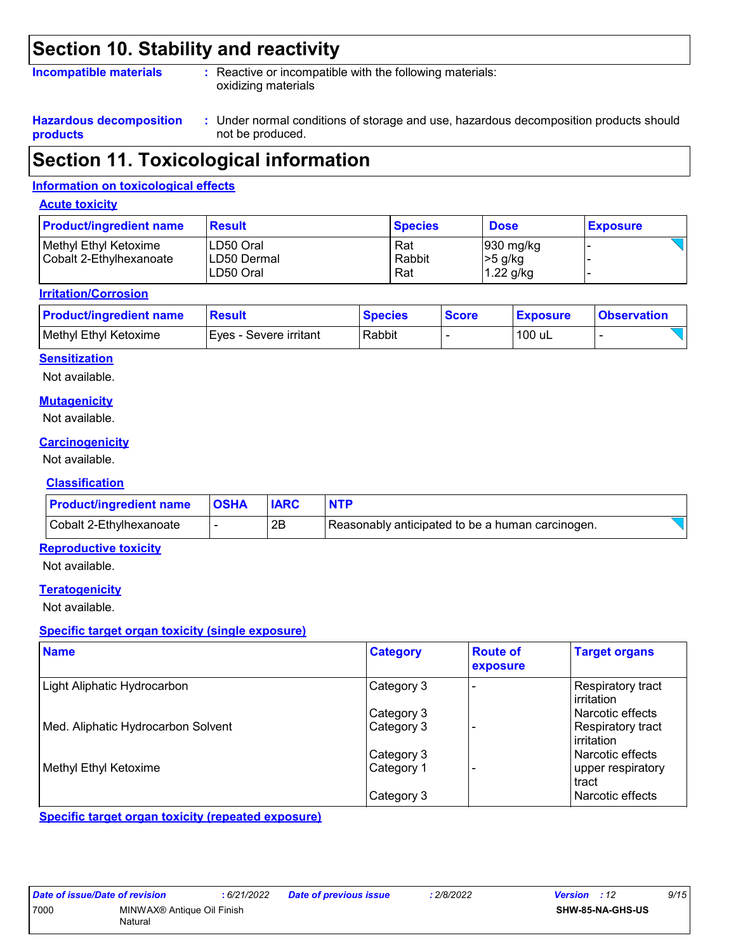### **Section 10. Stability and reactivity**

#### **Incompatible materials :**

: Reactive or incompatible with the following materials: oxidizing materials

**Hazardous decomposition products**

Under normal conditions of storage and use, hazardous decomposition products should **:** not be produced.

### **Section 11. Toxicological information**

#### **Information on toxicological effects**

#### **Acute toxicity**

| <b>Product/ingredient name</b>                   | <b>Result</b>                          | <b>Species</b>       | <b>Dose</b>                                    | <b>Exposure</b> |
|--------------------------------------------------|----------------------------------------|----------------------|------------------------------------------------|-----------------|
| Methyl Ethyl Ketoxime<br>Cobalt 2-Ethylhexanoate | ILD50 Oral<br>LD50 Dermal<br>LD50 Oral | Rat<br>Rabbit<br>Rat | $ 930 \text{ mg/kg} $<br> >5 g/kg<br>1.22 g/kg |                 |

#### **Irritation/Corrosion**

| <b>Product/ingredient name</b> | <b>Result</b>          | <b>Species</b> | <b>Score</b> | <b>Exposure</b> | <b>Observation</b> |
|--------------------------------|------------------------|----------------|--------------|-----------------|--------------------|
| Methyl Ethyl Ketoxime          | Eves - Severe irritant | Rabbit         |              | 100 uL          |                    |

#### **Sensitization**

Not available.

#### **Mutagenicity**

Not available.

#### **Carcinogenicity**

Not available.

#### **Classification**

| <b>Product/ingredient name   OSHA</b> | <b>IARC</b> | <b>NTP</b>                                       |  |
|---------------------------------------|-------------|--------------------------------------------------|--|
| Cobalt 2-Ethylhexanoate               | 2B          | Reasonably anticipated to be a human carcinogen. |  |

#### **Reproductive toxicity**

Not available.

#### **Teratogenicity**

Not available.

#### **Specific target organ toxicity (single exposure)**

| <b>Name</b>                        | <b>Category</b> | <b>Route of</b><br>exposure | <b>Target organs</b>              |
|------------------------------------|-----------------|-----------------------------|-----------------------------------|
| Light Aliphatic Hydrocarbon        | Category 3      |                             | Respiratory tract<br>l irritation |
|                                    | Category 3      |                             | l Narcotic effects                |
| Med. Aliphatic Hydrocarbon Solvent | Category 3      |                             | Respiratory tract<br>l irritation |
|                                    | Category 3      |                             | Narcotic effects                  |
| Methyl Ethyl Ketoxime              | Category 1      |                             | upper respiratory<br>tract        |
|                                    | Category 3      |                             | Narcotic effects                  |

**Specific target organ toxicity (repeated exposure)**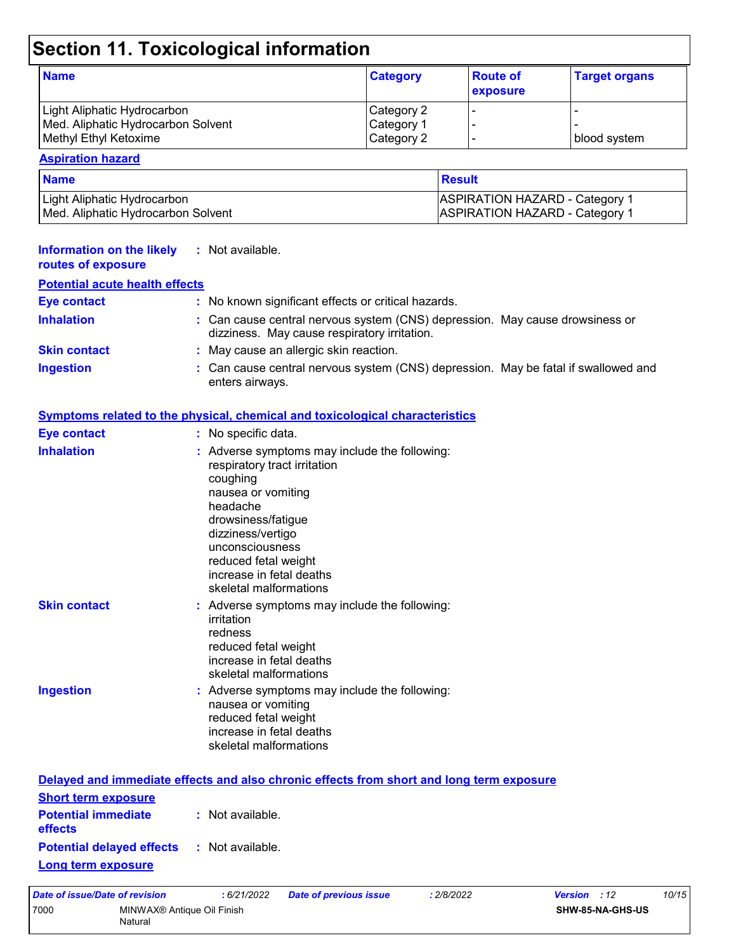## **Section 11. Toxicological information**

| <b>Name</b>                        | <b>Category</b> | <b>Route of</b><br><b>exposure</b> | <b>Target organs</b> |
|------------------------------------|-----------------|------------------------------------|----------------------|
| Light Aliphatic Hydrocarbon        | Category 2      |                                    |                      |
| Med. Aliphatic Hydrocarbon Solvent | Category 1      |                                    |                      |
| Methyl Ethyl Ketoxime              | Category 2      |                                    | blood system         |

#### **Aspiration hazard**

| <b>Name</b>                        | <b>Result</b>                         |
|------------------------------------|---------------------------------------|
| Light Aliphatic Hydrocarbon_       | <b>ASPIRATION HAZARD - Category 1</b> |
| Med. Aliphatic Hydrocarbon Solvent | <b>ASPIRATION HAZARD - Category 1</b> |

| <b>Information on the likely</b><br>routes of exposure | : Not available.                                                                                                                                                                                                                                                        |
|--------------------------------------------------------|-------------------------------------------------------------------------------------------------------------------------------------------------------------------------------------------------------------------------------------------------------------------------|
| <b>Potential acute health effects</b>                  |                                                                                                                                                                                                                                                                         |
| <b>Eye contact</b>                                     | : No known significant effects or critical hazards.                                                                                                                                                                                                                     |
| <b>Inhalation</b>                                      | : Can cause central nervous system (CNS) depression. May cause drowsiness or<br>dizziness. May cause respiratory irritation.                                                                                                                                            |
| <b>Skin contact</b>                                    | : May cause an allergic skin reaction.                                                                                                                                                                                                                                  |
| <b>Ingestion</b>                                       | : Can cause central nervous system (CNS) depression. May be fatal if swallowed and<br>enters airways.                                                                                                                                                                   |
|                                                        | <b>Symptoms related to the physical, chemical and toxicological characteristics</b>                                                                                                                                                                                     |
| <b>Eye contact</b>                                     | : No specific data.                                                                                                                                                                                                                                                     |
| <b>Inhalation</b>                                      | : Adverse symptoms may include the following:<br>respiratory tract irritation<br>coughing<br>nausea or vomiting<br>headache<br>drowsiness/fatigue<br>dizziness/vertigo<br>unconsciousness<br>reduced fetal weight<br>increase in fetal deaths<br>skeletal malformations |
| <b>Skin contact</b>                                    | : Adverse symptoms may include the following:<br>irritation<br>redness<br>reduced fetal weight<br>increase in fetal deaths<br>skeletal malformations                                                                                                                    |
| <b>Ingestion</b>                                       | : Adverse symptoms may include the following:<br>nausea or vomiting<br>reduced fetal weight<br>increase in fetal deaths<br>skeletal malformations                                                                                                                       |
|                                                        | Delayed and immediate effects and also chronic effects from short and long term exposure                                                                                                                                                                                |
| <b>Short term exposure</b>                             |                                                                                                                                                                                                                                                                         |

| <b>Potential immediate</b><br>effects | : Not available. |
|---------------------------------------|------------------|
| <b>Potential delayed effects</b>      | : Not available. |
| <b>Long term exposure</b>             |                  |

| Date of issue/Date of revision |                                       | :6/21/2022 | Date of previous issue | : 2/8/2022       | <b>Version</b> : 12 | 10/15 |
|--------------------------------|---------------------------------------|------------|------------------------|------------------|---------------------|-------|
| 7000                           | MINWAX® Antique Oil Finish<br>Natural |            |                        | SHW-85-NA-GHS-US |                     |       |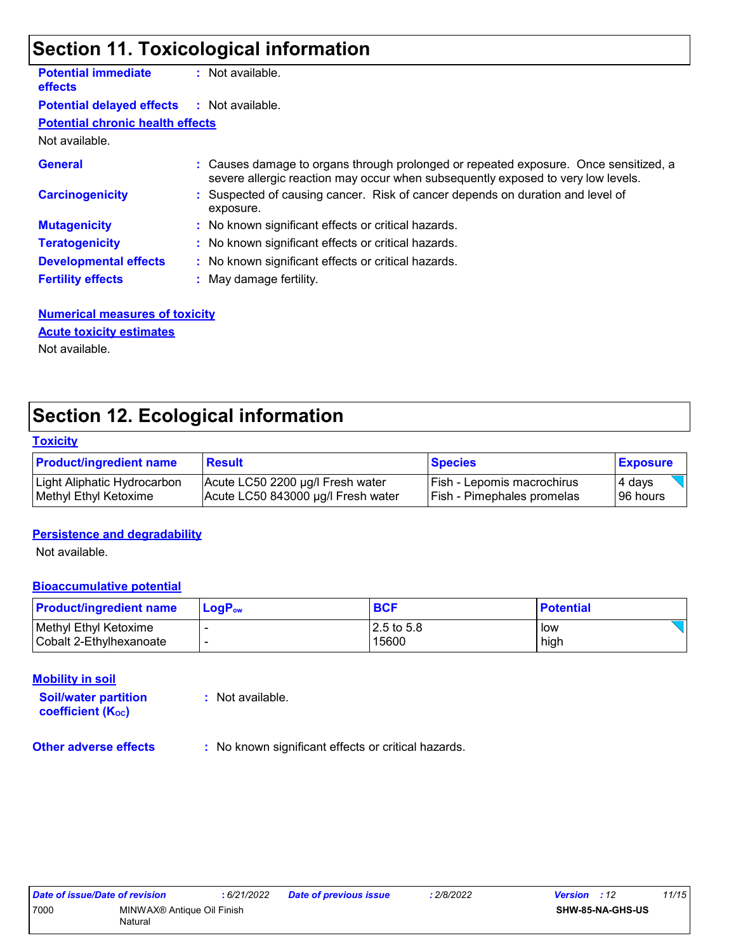### **Section 11. Toxicological information**

| <b>Potential immediate</b><br><b>effects</b> | $:$ Not available.                                                                                                                                                       |
|----------------------------------------------|--------------------------------------------------------------------------------------------------------------------------------------------------------------------------|
| <b>Potential delayed effects</b>             | : Not available.                                                                                                                                                         |
| <b>Potential chronic health effects</b>      |                                                                                                                                                                          |
| Not available.                               |                                                                                                                                                                          |
| <b>General</b>                               | : Causes damage to organs through prolonged or repeated exposure. Once sensitized, a<br>severe allergic reaction may occur when subsequently exposed to very low levels. |
| <b>Carcinogenicity</b>                       | : Suspected of causing cancer. Risk of cancer depends on duration and level of<br>exposure.                                                                              |
| <b>Mutagenicity</b>                          | : No known significant effects or critical hazards.                                                                                                                      |
| <b>Teratogenicity</b>                        | : No known significant effects or critical hazards.                                                                                                                      |
| <b>Developmental effects</b>                 | : No known significant effects or critical hazards.                                                                                                                      |
| <b>Fertility effects</b>                     | : May damage fertility.                                                                                                                                                  |
|                                              |                                                                                                                                                                          |

#### **Numerical measures of toxicity** Not available. **Acute toxicity estimates**

### **Section 12. Ecological information**

#### **Toxicity**

| <b>Product/ingredient name</b> | <b>Result</b>                      | <b>Species</b>             | <b>Exposure</b> |
|--------------------------------|------------------------------------|----------------------------|-----------------|
| Light Aliphatic Hydrocarbon    | Acute LC50 2200 µg/l Fresh water   | Fish - Lepomis macrochirus | 4 days          |
| Methyl Ethyl Ketoxime          | Acute LC50 843000 µg/l Fresh water | Fish - Pimephales promelas | 196 hours       |

#### **Persistence and degradability**

Not available.

#### **Bioaccumulative potential**

| <b>Product/ingredient name</b> | $\mathsf{LogP}_\mathsf{ow}$ | <b>BCF</b>   | <b>Potential</b> |
|--------------------------------|-----------------------------|--------------|------------------|
| Methyl Ethyl Ketoxime          |                             | $2.5$ to 5.8 | low              |
| l Cobalt 2-Ethvlhexanoate      |                             | 15600        | high             |

#### **Mobility in soil**

**Soil/water partition coefficient (KOC)**

**:** Not available.

**Other adverse effects** : No known significant effects or critical hazards.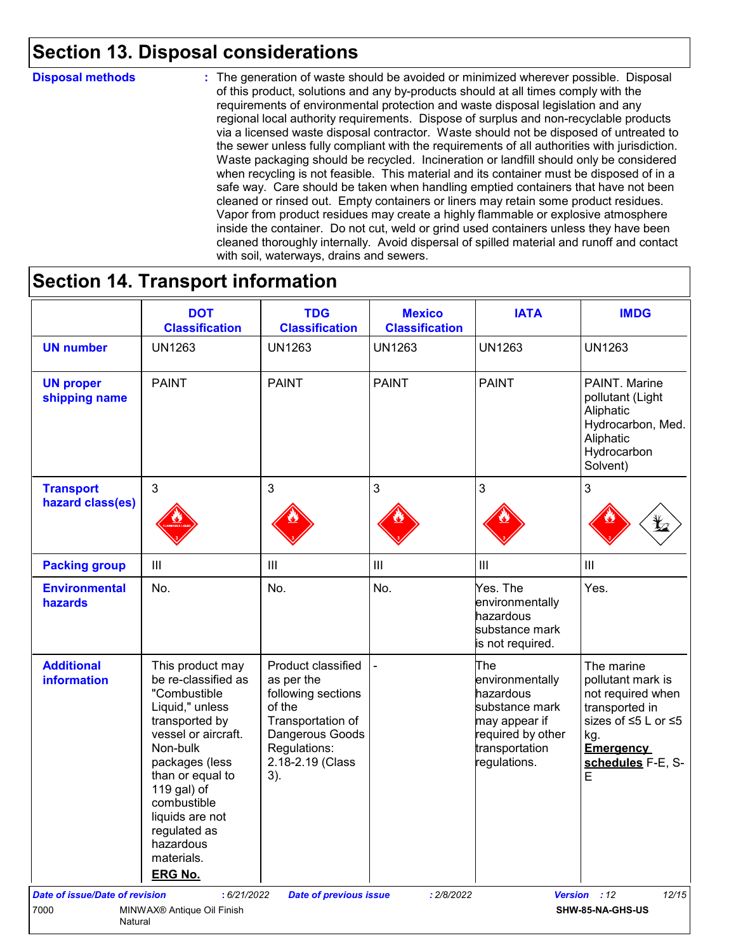### **Section 13. Disposal considerations**

#### **Disposal methods :**

The generation of waste should be avoided or minimized wherever possible. Disposal of this product, solutions and any by-products should at all times comply with the requirements of environmental protection and waste disposal legislation and any regional local authority requirements. Dispose of surplus and non-recyclable products via a licensed waste disposal contractor. Waste should not be disposed of untreated to the sewer unless fully compliant with the requirements of all authorities with jurisdiction. Waste packaging should be recycled. Incineration or landfill should only be considered when recycling is not feasible. This material and its container must be disposed of in a safe way. Care should be taken when handling emptied containers that have not been cleaned or rinsed out. Empty containers or liners may retain some product residues. Vapor from product residues may create a highly flammable or explosive atmosphere inside the container. Do not cut, weld or grind used containers unless they have been cleaned thoroughly internally. Avoid dispersal of spilled material and runoff and contact with soil, waterways, drains and sewers.

### **Section 14. Transport information**

|                                         | <b>DOT</b><br><b>Classification</b>                                                                                                                                                                                                                                                 | <b>TDG</b><br><b>Classification</b>                                                                                                                 | <b>Mexico</b><br><b>Classification</b> | <b>IATA</b>                                                                                                                   | <b>IMDG</b>                                                                                                                                        |
|-----------------------------------------|-------------------------------------------------------------------------------------------------------------------------------------------------------------------------------------------------------------------------------------------------------------------------------------|-----------------------------------------------------------------------------------------------------------------------------------------------------|----------------------------------------|-------------------------------------------------------------------------------------------------------------------------------|----------------------------------------------------------------------------------------------------------------------------------------------------|
| <b>UN number</b>                        | <b>UN1263</b>                                                                                                                                                                                                                                                                       | <b>UN1263</b>                                                                                                                                       | <b>UN1263</b>                          | <b>UN1263</b>                                                                                                                 | <b>UN1263</b>                                                                                                                                      |
| <b>UN proper</b><br>shipping name       | <b>PAINT</b>                                                                                                                                                                                                                                                                        | <b>PAINT</b>                                                                                                                                        | <b>PAINT</b>                           | <b>PAINT</b>                                                                                                                  | PAINT. Marine<br>pollutant (Light<br>Aliphatic<br>Hydrocarbon, Med.<br>Aliphatic<br>Hydrocarbon<br>Solvent)                                        |
| <b>Transport</b><br>hazard class(es)    | $\mathbf{3}$                                                                                                                                                                                                                                                                        | 3                                                                                                                                                   | $\mathfrak{S}$                         | 3                                                                                                                             | 3                                                                                                                                                  |
| <b>Packing group</b>                    | $\mathop{\rm III}$                                                                                                                                                                                                                                                                  | Ш                                                                                                                                                   | $\ensuremath{\mathsf{III}}\xspace$     | $\mathbf{III}$                                                                                                                | III                                                                                                                                                |
| <b>Environmental</b><br>hazards         | No.                                                                                                                                                                                                                                                                                 | No.                                                                                                                                                 | No.                                    | Yes. The<br>environmentally<br>hazardous<br>substance mark<br>is not required.                                                | Yes.                                                                                                                                               |
| <b>Additional</b><br><b>information</b> | This product may<br>be re-classified as<br>"Combustible<br>Liquid," unless<br>transported by<br>vessel or aircraft.<br>Non-bulk<br>packages (less<br>than or equal to<br>119 gal) of<br>combustible<br>liquids are not<br>regulated as<br>hazardous<br>materials.<br><b>ERG No.</b> | Product classified<br>as per the<br>following sections<br>of the<br>Transportation of<br>Dangerous Goods<br>Regulations:<br>2.18-2.19 (Class<br>3). |                                        | The<br>environmentally<br>hazardous<br>substance mark<br>may appear if<br>required by other<br>transportation<br>regulations. | The marine<br>pollutant mark is<br>not required when<br>transported in<br>sizes of ≤5 L or ≤5<br>kg.<br><b>Emergency</b><br>schedules F-E, S-<br>E |
| <b>Date of issue/Date of revision</b>   | : 6/21/2022                                                                                                                                                                                                                                                                         | <b>Date of previous issue</b>                                                                                                                       | : 2/8/2022                             |                                                                                                                               | 12/15<br>Version : 12                                                                                                                              |
| 7000<br>Natural                         | MINWAX <sup>®</sup> Antique Oil Finish                                                                                                                                                                                                                                              |                                                                                                                                                     |                                        |                                                                                                                               | SHW-85-NA-GHS-US                                                                                                                                   |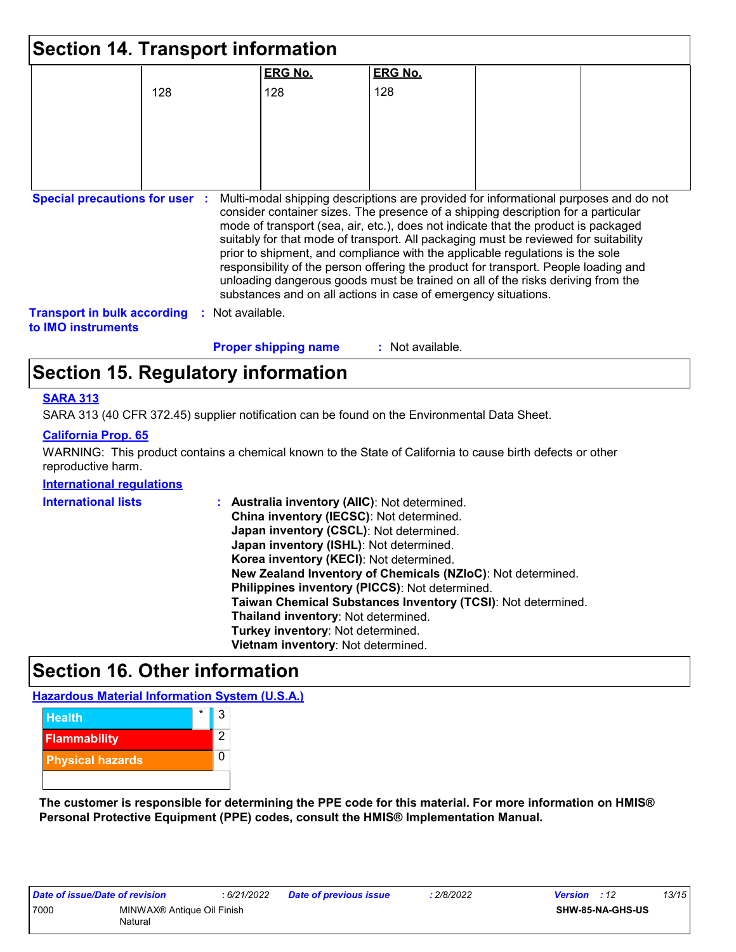| <b>Section 14. Transport information</b>                        |     |                  |                             |                                                                                                                                                                                                                                                                                                                                                                                                                                                                                                                                                                                                                                                                                     |  |
|-----------------------------------------------------------------|-----|------------------|-----------------------------|-------------------------------------------------------------------------------------------------------------------------------------------------------------------------------------------------------------------------------------------------------------------------------------------------------------------------------------------------------------------------------------------------------------------------------------------------------------------------------------------------------------------------------------------------------------------------------------------------------------------------------------------------------------------------------------|--|
|                                                                 |     |                  | <b>ERG No.</b>              | <b>ERG No.</b>                                                                                                                                                                                                                                                                                                                                                                                                                                                                                                                                                                                                                                                                      |  |
|                                                                 | 128 |                  | 128                         | 128                                                                                                                                                                                                                                                                                                                                                                                                                                                                                                                                                                                                                                                                                 |  |
|                                                                 |     |                  |                             |                                                                                                                                                                                                                                                                                                                                                                                                                                                                                                                                                                                                                                                                                     |  |
|                                                                 |     |                  |                             |                                                                                                                                                                                                                                                                                                                                                                                                                                                                                                                                                                                                                                                                                     |  |
|                                                                 |     |                  |                             |                                                                                                                                                                                                                                                                                                                                                                                                                                                                                                                                                                                                                                                                                     |  |
| <b>Special precautions for user :</b>                           |     |                  |                             | Multi-modal shipping descriptions are provided for informational purposes and do not<br>consider container sizes. The presence of a shipping description for a particular<br>mode of transport (sea, air, etc.), does not indicate that the product is packaged<br>suitably for that mode of transport. All packaging must be reviewed for suitability<br>prior to shipment, and compliance with the applicable regulations is the sole<br>responsibility of the person offering the product for transport. People loading and<br>unloading dangerous goods must be trained on all of the risks deriving from the<br>substances and on all actions in case of emergency situations. |  |
| <b>Transport in bulk according</b><br>to <b>IMO</b> instruments |     | : Not available. |                             |                                                                                                                                                                                                                                                                                                                                                                                                                                                                                                                                                                                                                                                                                     |  |
|                                                                 |     |                  | <b>Proper shipping name</b> | : Not available.                                                                                                                                                                                                                                                                                                                                                                                                                                                                                                                                                                                                                                                                    |  |

### **Section 15. Regulatory information**

#### **SARA 313**

SARA 313 (40 CFR 372.45) supplier notification can be found on the Environmental Data Sheet.

#### **California Prop. 65**

WARNING: This product contains a chemical known to the State of California to cause birth defects or other reproductive harm.

#### **International regulations**

| <b>International lists</b> | : Australia inventory (AIIC): Not determined.                |
|----------------------------|--------------------------------------------------------------|
|                            | China inventory (IECSC): Not determined.                     |
|                            | Japan inventory (CSCL): Not determined.                      |
|                            | Japan inventory (ISHL): Not determined.                      |
|                            | Korea inventory (KECI): Not determined.                      |
|                            | New Zealand Inventory of Chemicals (NZIoC): Not determined.  |
|                            | Philippines inventory (PICCS): Not determined.               |
|                            | Taiwan Chemical Substances Inventory (TCSI): Not determined. |
|                            | Thailand inventory: Not determined.                          |
|                            | Turkey inventory: Not determined.                            |
|                            | Vietnam inventory: Not determined.                           |

### **Section 16. Other information**

**Hazardous Material Information System (U.S.A.)**



**The customer is responsible for determining the PPE code for this material. For more information on HMIS® Personal Protective Equipment (PPE) codes, consult the HMIS® Implementation Manual.**

| Date of issue/Date of revision |                                        | :6/21/2022 |
|--------------------------------|----------------------------------------|------------|
| 7000                           | MINWAX <sup>®</sup> Antique Oil Finish |            |
|                                | Natural                                |            |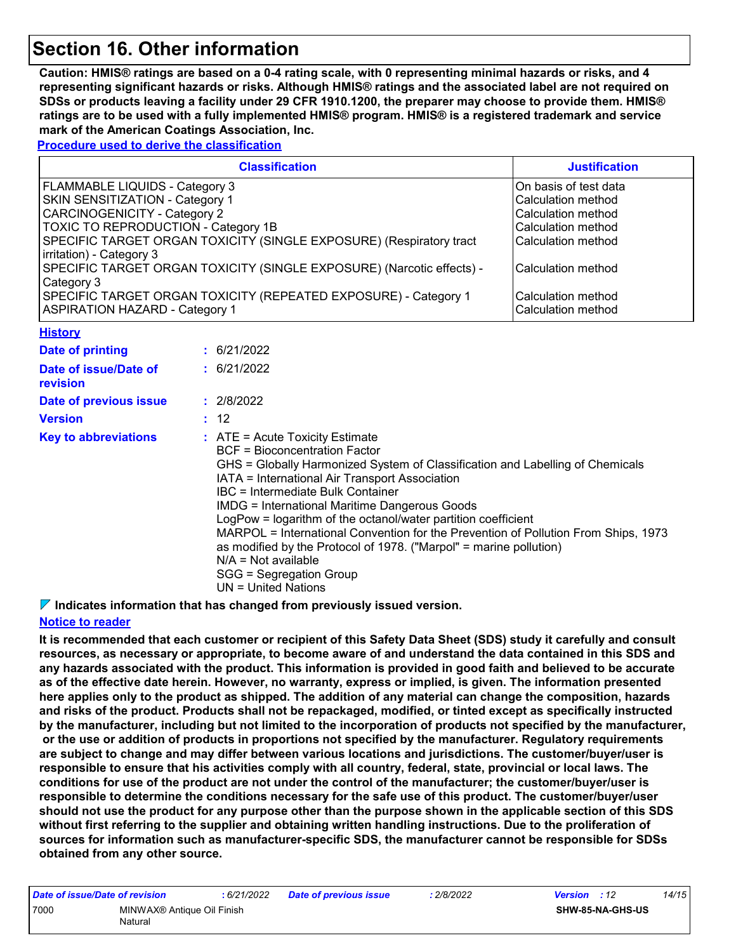### **Section 16. Other information**

**Caution: HMIS® ratings are based on a 0-4 rating scale, with 0 representing minimal hazards or risks, and 4 representing significant hazards or risks. Although HMIS® ratings and the associated label are not required on SDSs or products leaving a facility under 29 CFR 1910.1200, the preparer may choose to provide them. HMIS® ratings are to be used with a fully implemented HMIS® program. HMIS® is a registered trademark and service mark of the American Coatings Association, Inc.**

**Procedure used to derive the classification**

| <b>Classification</b>                                                                                    | <b>Justification</b>                       |
|----------------------------------------------------------------------------------------------------------|--------------------------------------------|
| FLAMMABLE LIQUIDS - Category 3                                                                           | IOn basis of test data                     |
| SKIN SENSITIZATION - Category 1                                                                          | Calculation method                         |
| <b>CARCINOGENICITY - Category 2</b>                                                                      | Calculation method                         |
| <b>TOXIC TO REPRODUCTION - Category 1B</b>                                                               | Calculation method                         |
| SPECIFIC TARGET ORGAN TOXICITY (SINGLE EXPOSURE) (Respiratory tract<br>irritation) - Category 3          | Calculation method                         |
| SPECIFIC TARGET ORGAN TOXICITY (SINGLE EXPOSURE) (Narcotic effects) -<br>Category 3                      | Calculation method                         |
| SPECIFIC TARGET ORGAN TOXICITY (REPEATED EXPOSURE) - Category 1<br><b>ASPIRATION HAZARD - Category 1</b> | l Calculation method<br>Calculation method |

| <u> FIBIOLY</u>                   |                                                                                                                                                                                                                                                                                                                                                                                                                                                                                                                                                                                                                       |
|-----------------------------------|-----------------------------------------------------------------------------------------------------------------------------------------------------------------------------------------------------------------------------------------------------------------------------------------------------------------------------------------------------------------------------------------------------------------------------------------------------------------------------------------------------------------------------------------------------------------------------------------------------------------------|
| Date of printing                  | : 6/21/2022                                                                                                                                                                                                                                                                                                                                                                                                                                                                                                                                                                                                           |
| Date of issue/Date of<br>revision | : 6/21/2022                                                                                                                                                                                                                                                                                                                                                                                                                                                                                                                                                                                                           |
| Date of previous issue            | : 2/8/2022                                                                                                                                                                                                                                                                                                                                                                                                                                                                                                                                                                                                            |
| <b>Version</b>                    | : 12                                                                                                                                                                                                                                                                                                                                                                                                                                                                                                                                                                                                                  |
| <b>Key to abbreviations</b>       | $\therefore$ ATE = Acute Toxicity Estimate<br>BCF = Bioconcentration Factor<br>GHS = Globally Harmonized System of Classification and Labelling of Chemicals<br>IATA = International Air Transport Association<br>IBC = Intermediate Bulk Container<br><b>IMDG = International Maritime Dangerous Goods</b><br>LogPow = logarithm of the octanol/water partition coefficient<br>MARPOL = International Convention for the Prevention of Pollution From Ships, 1973<br>as modified by the Protocol of 1978. ("Marpol" = marine pollution)<br>$N/A = Not available$<br>SGG = Segregation Group<br>$UN = United Nations$ |

**Indicates information that has changed from previously issued version.**

#### **Notice to reader**

**History**

**It is recommended that each customer or recipient of this Safety Data Sheet (SDS) study it carefully and consult resources, as necessary or appropriate, to become aware of and understand the data contained in this SDS and any hazards associated with the product. This information is provided in good faith and believed to be accurate as of the effective date herein. However, no warranty, express or implied, is given. The information presented here applies only to the product as shipped. The addition of any material can change the composition, hazards and risks of the product. Products shall not be repackaged, modified, or tinted except as specifically instructed by the manufacturer, including but not limited to the incorporation of products not specified by the manufacturer, or the use or addition of products in proportions not specified by the manufacturer. Regulatory requirements are subject to change and may differ between various locations and jurisdictions. The customer/buyer/user is responsible to ensure that his activities comply with all country, federal, state, provincial or local laws. The conditions for use of the product are not under the control of the manufacturer; the customer/buyer/user is responsible to determine the conditions necessary for the safe use of this product. The customer/buyer/user should not use the product for any purpose other than the purpose shown in the applicable section of this SDS without first referring to the supplier and obtaining written handling instructions. Due to the proliferation of sources for information such as manufacturer-specific SDS, the manufacturer cannot be responsible for SDSs obtained from any other source.**

| Date of issue/Date of revision<br>: 6/21/2022 | 2/8/2022<br>Date of previous issue<br><b>Version</b><br>.12 | 14/15 |
|-----------------------------------------------|-------------------------------------------------------------|-------|
| 7000<br>MINWAX® Antique Oil Finish<br>Natural | SHW-85-NA-GHS-US                                            |       |